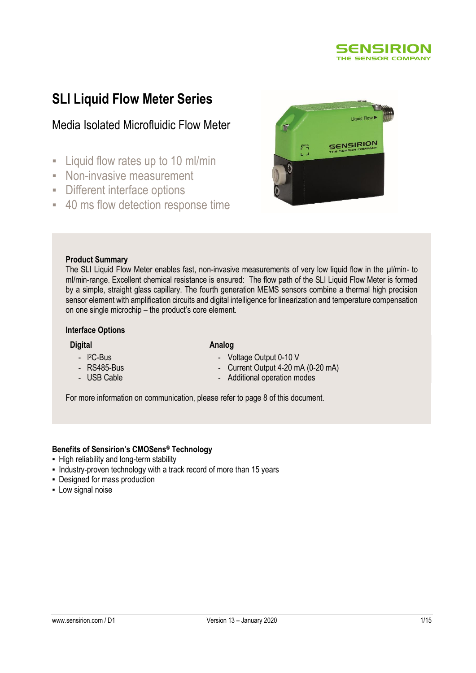

# **SLI Liquid Flow Meter Series**

## Media Isolated Microfluidic Flow Meter

- **EXECUTE:** Liquid flow rates up to 10 ml/min
- **Non-invasive measurement**
- Different interface options
- 40 ms flow detection response time

# SENSIRION

#### **Product Summary**

The SLI Liquid Flow Meter enables fast, non-invasive measurements of very low liquid flow in the µl/min- to ml/min-range. Excellent chemical resistance is ensured: The flow path of the SLI Liquid Flow Meter is formed by a simple, straight glass capillary. The fourth generation MEMS sensors combine a thermal high precision sensor element with amplification circuits and digital intelligence for linearization and temperature compensation on one single microchip – the product's core element.

#### **Interface Options**

- I <sup>2</sup>C-Bus - RS485-Bus - USB Cable

#### **Digital**

#### **Analog**

- Voltage Output 0-10 V
	- Current Output 4-20 mA (0-20 mA)
	- Additional operation modes

For more information on communication, please refer to page 8 of this document.

#### **Benefits of Sensirion's CMOSens® Technology**

- **High reliability and long-term stability**
- Industry-proven technology with a track record of more than 15 years
- Designed for mass production
- **-** Low signal noise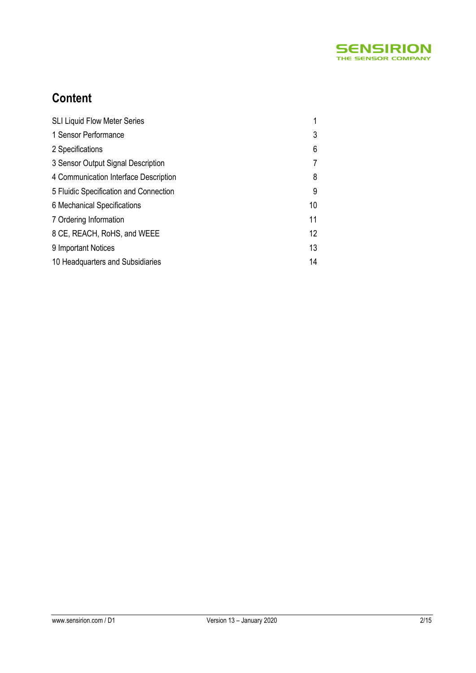

# **Content**

| <b>SLI Liquid Flow Meter Series</b>    |    |
|----------------------------------------|----|
| 1 Sensor Performance                   | 3  |
| 2 Specifications                       | 6  |
| 3 Sensor Output Signal Description     | 7  |
| 4 Communication Interface Description  | 8  |
| 5 Fluidic Specification and Connection | 9  |
| 6 Mechanical Specifications            | 10 |
| 7 Ordering Information                 | 11 |
| 8 CE, REACH, RoHS, and WEEE            | 12 |
| 9 Important Notices                    | 13 |
| 10 Headquarters and Subsidiaries       | 14 |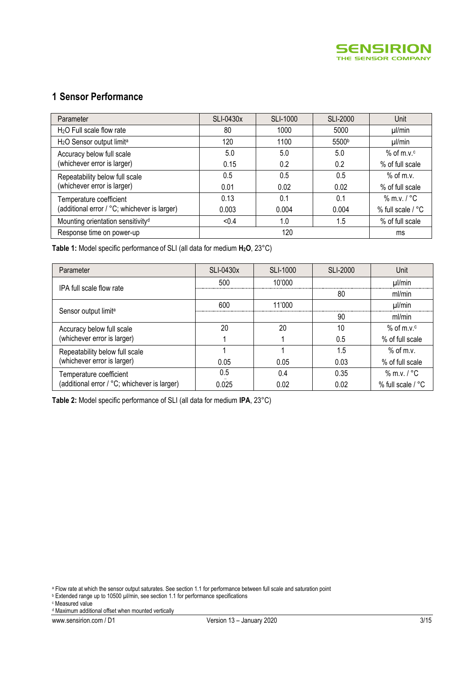

## **1 Sensor Performance**

| Parameter                                         | SLI-0430x | SLI-1000 | <b>SLI-2000</b>   | Unit              |
|---------------------------------------------------|-----------|----------|-------------------|-------------------|
| $H2O$ Full scale flow rate                        | 80        | 1000     | 5000              | $\mu$ /min        |
| H <sub>2</sub> O Sensor output limit <sup>a</sup> | 120       | 1100     | 5500 <sup>b</sup> | µl/min            |
| Accuracy below full scale                         | 5.0       | 5.0      | 5.0               | $%$ of m.v. $c$   |
| (whichever error is larger)                       | 0.15      | 0.2      | 0.2               | % of full scale   |
| Repeatability below full scale                    | 0.5       | 0.5      | 0.5               | $%$ of m.v.       |
| (whichever error is larger)                       | 0.01      | 0.02     | 0.02              | % of full scale   |
| Temperature coefficient                           | 0.13      | 0.1      | 0.1               | $%$ m.v. / $°C$   |
| (additional error / °C; whichever is larger)      | 0.003     | 0.004    | 0.004             | % full scale / °C |
| Mounting orientation sensitivity <sup>d</sup>     | < 0.4     | 1.0      | 1.5               | % of full scale   |
| Response time on power-up                         |           | ms       |                   |                   |

**Table 1:** Model specific performance of SLI (all data for medium **H2O**, 23°C)

| Parameter                                    | SLI-0430x | SLI-1000 | SLI-2000 | Unit                 |
|----------------------------------------------|-----------|----------|----------|----------------------|
| IPA full scale flow rate                     | 500       | 10'000   |          | $\mu$ /min           |
|                                              |           |          | 80       | ml/min               |
|                                              | 600       | 11'000   |          | $\mu$ /min           |
| Sensor output limit <sup>a</sup>             |           |          | 90       | ml/min               |
| Accuracy below full scale                    | 20        | 20       | 10       | $%$ of m $v$ $\circ$ |
| (whichever error is larger)                  |           |          | 0.5      | % of full scale      |
| Repeatability below full scale               |           |          | 1.5      | $%$ of m.v.          |
| (whichever error is larger)                  | 0.05      | 0.05     | 0.03     | % of full scale      |
| Temperature coefficient                      | 0.5       | 0.4      | 0.35     | $%$ m.v. $/$ °C      |
| (additional error / °C; whichever is larger) | 0.025     | 0.02     | 0.02     | % full scale / °C    |

**Table 2:** Model specific performance of SLI (all data for medium **IPA**, 23°C)

<sup>a</sup> Flow rate at which the sensor output saturates. See section 1.1 for performance between full scale and saturation point

<sup>b</sup> Extended range up to 10500 µl/min, see section 1.1 for performance specifications

<sup>c</sup> Measured value

<sup>d</sup> Maximum additional offset when mounted vertically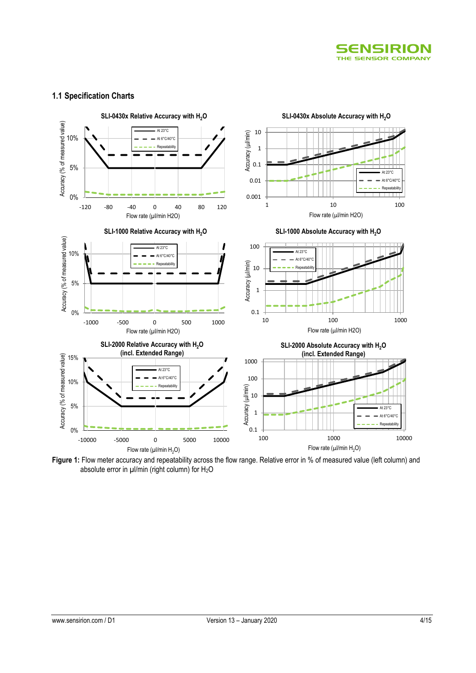

#### **1.1 Specification Charts**



**Figure 1:** Flow meter accuracy and repeatability across the flow range. Relative error in % of measured value (left column) and absolute error in  $\mu$ l/min (right column) for H<sub>2</sub>O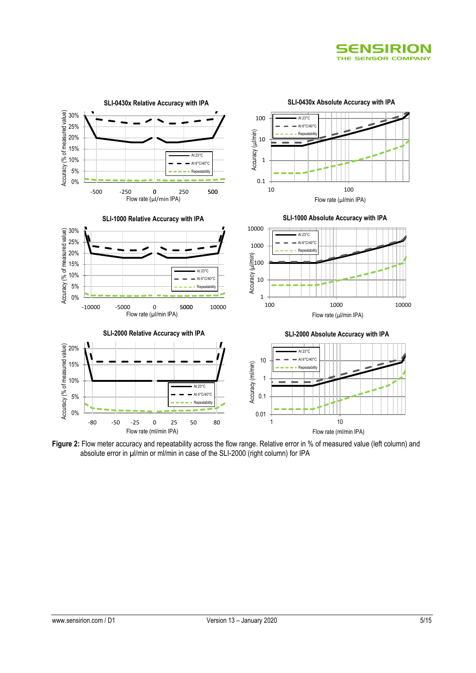



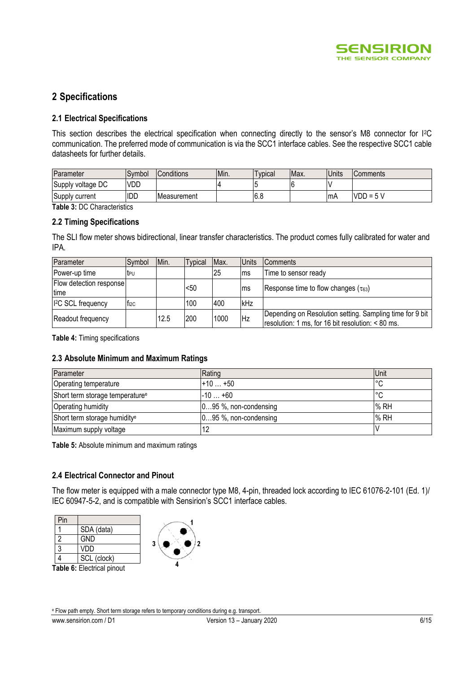

## **2 Specifications**

#### **2.1 Electrical Specifications**

This section describes the electrical specification when connecting directly to the sensor's M8 connector for I<sup>2</sup>C communication. The preferred mode of communication is via the SCC1 interface cables. See the respective SCC1 cable datasheets for further details.

| Parameter         | Svmbol     | Conditions          | Min. | voical | IMax. | <b>Units</b> | <b>Comments</b> |
|-------------------|------------|---------------------|------|--------|-------|--------------|-----------------|
| Supply voltage DC | <b>VDD</b> |                     |      |        |       |              |                 |
| Supply current    | <b>IDD</b> | <b>IMeasurement</b> |      | 6.8    |       | <b>ImA</b>   | $VDD =$         |

**Table 3:** DC Characteristics

#### **2.2 Timing Specifications**

The SLI flow meter shows bidirectional, linear transfer characteristics. The product comes fully calibrated for water and IPA.

| Parameter                           | Symbol           | Min. | <b>Typical</b> | Max. | <b>Units</b> | <b>Comments</b>                                                                                               |
|-------------------------------------|------------------|------|----------------|------|--------------|---------------------------------------------------------------------------------------------------------------|
| Power-up time                       | tpu              |      |                | 25   | lms          | Time to sensor ready                                                                                          |
| Flow detection response<br>time     |                  |      | <50            |      | lms          | Response time to flow changes ( $\tau_{63}$ )                                                                 |
| <b>I<sup>2</sup>C</b> SCL frequency | T <sub>12C</sub> |      | 100            | 400  | kHz          |                                                                                                               |
| Readout frequency                   |                  | 12.5 | 200            | 1000 | <b>Hz</b>    | Depending on Resolution setting. Sampling time for 9 bit<br>resolution: 1 ms, for 16 bit resolution: < 80 ms. |

**Table 4:** Timing specifications

#### **2.3 Absolute Minimum and Maximum Ratings**

| Parameter                                   | Rating                    | Unit     |
|---------------------------------------------|---------------------------|----------|
| <b>Operating temperature</b>                |                           | ∣∘∩<br>◡ |
| Short term storage temperature <sup>e</sup> | $-10+60$                  | °С       |
| Operating humidity                          | $[095,$ %, non-condensing | % RH     |
| Short term storage humidity <sup>e</sup>    | $095$ %, non-condensing   | % RH     |
| Maximum supply voltage                      |                           |          |

**Table 5:** Absolute minimum and maximum ratings

#### **2.4 Electrical Connector and Pinout**

The flow meter is equipped with a male connector type M8, 4-pin, threaded lock according to IEC 61076-2-101 (Ed. 1)/ IEC 60947-5-2, and is compatible with Sensirion's SCC1 interface cables.

| Pin |             |
|-----|-------------|
|     | SDA (data)  |
| 2   | <b>GND</b>  |
| 3   | VDD         |
|     | SCL (clock) |



**Table 6:** Electrical pinout

<sup>e</sup> Flow path empty. Short term storage refers to temporary conditions during e.g. transport.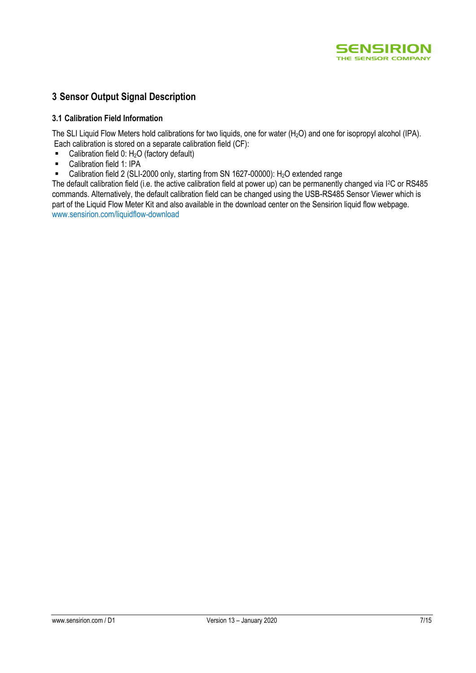

## **3 Sensor Output Signal Description**

#### **3.1 Calibration Field Information**

The SLI Liquid Flow Meters hold calibrations for two liquids, one for water (H<sub>2</sub>O) and one for isopropyl alcohol (IPA). Each calibration is stored on a separate calibration field (CF):

- Calibration field  $0: H<sub>2</sub>O$  (factory default)
- **-** Calibration field 1: IPA
- Calibration field 2 (SLI-2000 only, starting from SN 1627-00000): H<sub>2</sub>O extended range

The default calibration field (i.e. the active calibration field at power up) can be permanently changed via I<sup>2</sup>C or RS485 commands. Alternatively, the default calibration field can be changed using the USB-RS485 Sensor Viewer which is part of the Liquid Flow Meter Kit and also available in the download center on the Sensirion liquid flow webpage. [www.sensirion.com/liquidflow-download](http://www.sensirion.com/liquidflow-download)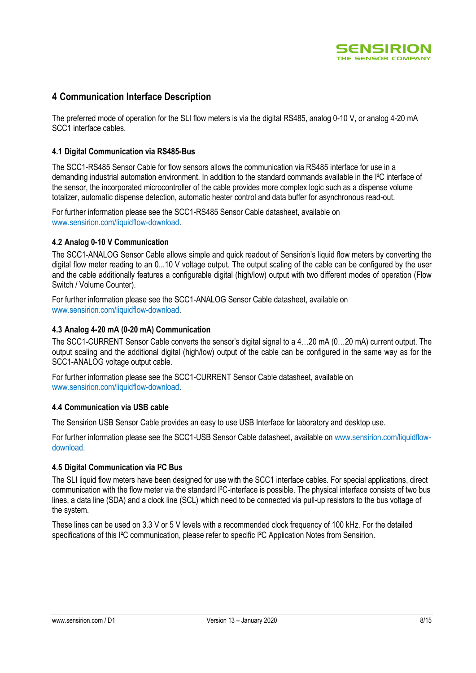

## **4 Communication Interface Description**

The preferred mode of operation for the SLI flow meters is via the digital RS485, analog 0-10 V, or analog 4-20 mA SCC1 interface cables.

#### **4.1 Digital Communication via RS485-Bus**

The SCC1-RS485 Sensor Cable for flow sensors allows the communication via RS485 interface for use in a demanding industrial automation environment. In addition to the standard commands available in the I²C interface of the sensor, the incorporated microcontroller of the cable provides more complex logic such as a dispense volume totalizer, automatic dispense detection, automatic heater control and data buffer for asynchronous read-out.

For further information please see the SCC1-RS485 Sensor Cable datasheet, available on [www.sensirion.com/liquidflow-download.](http://www.sensirion.com/liquidflow-download)

#### **4.2 Analog 0-10 V Communication**

The SCC1-ANALOG Sensor Cable allows simple and quick readout of Sensirion's liquid flow meters by converting the digital flow meter reading to an 0...10 V voltage output. The output scaling of the cable can be configured by the user and the cable additionally features a configurable digital (high/low) output with two different modes of operation (Flow Switch / Volume Counter).

For further information please see the SCC1-ANALOG Sensor Cable datasheet, available on [www.sensirion.com/liquidflow-download.](http://www.sensirion.com/liquidflow-download)

#### **4.3 Analog 4-20 mA (0-20 mA) Communication**

The SCC1-CURRENT Sensor Cable converts the sensor's digital signal to a 4…20 mA (0…20 mA) current output. The output scaling and the additional digital (high/low) output of the cable can be configured in the same way as for the SCC1-ANALOG voltage output cable.

For further information please see the SCC1-CURRENT Sensor Cable datasheet, available on [www.sensirion.com/liquidflow-download.](http://www.sensirion.com/liquidflow-download)

#### **4.4 Communication via USB cable**

The Sensirion USB Sensor Cable provides an easy to use USB Interface for laboratory and desktop use.

For further information please see the SCC1-USB Sensor Cable datasheet, available o[n www.sensirion.com/liquidflow](http://www.sensirion.com/liquidflow-download)[download.](http://www.sensirion.com/liquidflow-download)

#### **4.5 Digital Communication via I <sup>2</sup>C Bus**

The SLI liquid flow meters have been designed for use with the SCC1 interface cables. For special applications, direct communication with the flow meter via the standard I²C-interface is possible. The physical interface consists of two bus lines, a data line (SDA) and a clock line (SCL) which need to be connected via pull-up resistors to the bus voltage of the system.

These lines can be used on 3.3 V or 5 V levels with a recommended clock frequency of 100 kHz. For the detailed specifications of this I<sup>2</sup>C communication, please refer to specific I<sup>2</sup>C Application Notes from Sensirion.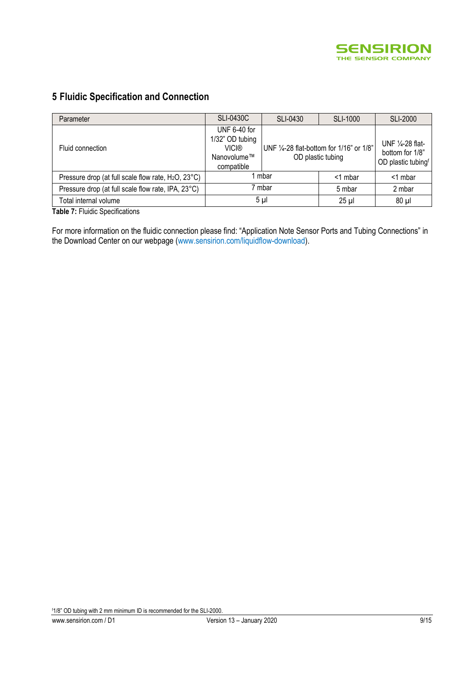

## **5 Fluidic Specification and Connection**

| Parameter                                                       | <b>SLI-0430C</b><br>SLI-0430                                          |  | <b>SLI-1000</b>                                               | <b>SLI-2000</b> |
|-----------------------------------------------------------------|-----------------------------------------------------------------------|--|---------------------------------------------------------------|-----------------|
| Fluid connection                                                | UNF 6-40 for<br>1/32" OD tubing<br>VICI®<br>Nanovolume™<br>compatible |  | UNF 1/4-28 flat-bottom for 1/16" or 1/8"<br>OD plastic tubing |                 |
| Pressure drop (at full scale flow rate, H <sub>2</sub> O, 23°C) | mbar                                                                  |  | $<$ 1 mbar                                                    | <1 mbar         |
| Pressure drop (at full scale flow rate, IPA, 23°C)              | 7 mbar                                                                |  | 5 mbar                                                        | 2 mbar          |
| Total internal volume                                           | $5 \mu$                                                               |  | $25$ $\mu$                                                    | $80 \mu$        |

**Table 7:** Fluidic Specifications

For more information on the fluidic connection please find: "Application Note Sensor Ports and Tubing Connections" in the Download Center on our webpage [\(www.sensirion.com/liquidflow-download\)](http://www.sensirion.com/liquidflow-download).

f1/8" OD tubing with 2 mm minimum ID is recommended for the SLI-2000.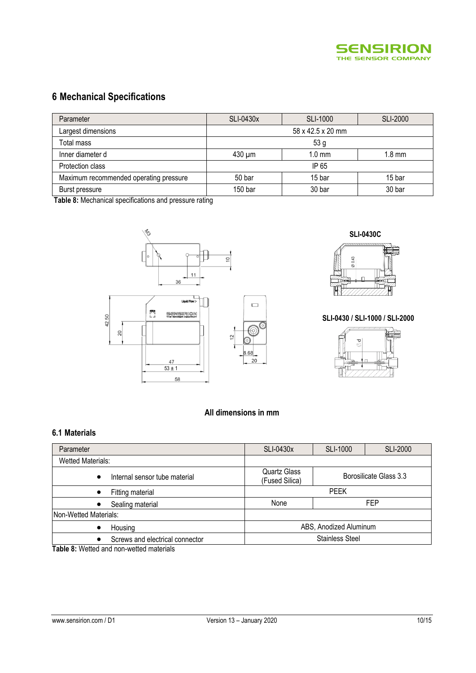

## **6 Mechanical Specifications**

| Parameter                              | SLI-0430x         | SLI-1000         | <b>SLI-2000</b>  |  |  |
|----------------------------------------|-------------------|------------------|------------------|--|--|
| Largest dimensions                     | 58 x 42.5 x 20 mm |                  |                  |  |  |
| Total mass                             | 53 <sub>g</sub>   |                  |                  |  |  |
| Inner diameter d                       | $430 \mu m$       | $1.0 \text{ mm}$ | $1.8 \text{ mm}$ |  |  |
| Protection class                       | IP 65             |                  |                  |  |  |
| Maximum recommended operating pressure | 50 bar            | 15 bar           | 15 bar           |  |  |
| Burst pressure                         | 150 bar           | 30 bar           | 30 bar           |  |  |

**Table 8:** Mechanical specifications and pressure rating





#### **SLI-0430 / SLI-1000 / SLI-2000**



#### **All dimensions in mm**

#### **6.1 Materials**

| Parameter                                  | <b>SLI-0430x</b>                      | <b>SLI-1000</b>        | <b>SLI-2000</b> |  |
|--------------------------------------------|---------------------------------------|------------------------|-----------------|--|
| <b>Wetted Materials:</b>                   |                                       |                        |                 |  |
| Internal sensor tube material<br>$\bullet$ | <b>Quartz Glass</b><br>(Fused Silica) | Borosilicate Glass 3.3 |                 |  |
| Fitting material                           | <b>PEEK</b>                           |                        |                 |  |
| Sealing material                           | None                                  | <b>FEP</b>             |                 |  |
| Non-Wetted Materials:                      |                                       |                        |                 |  |
| Housing<br>$\bullet$                       |                                       | ABS, Anodized Aluminum |                 |  |
| Screws and electrical connector            | <b>Stainless Steel</b>                |                        |                 |  |

**Table 8:** Wetted and non-wetted materials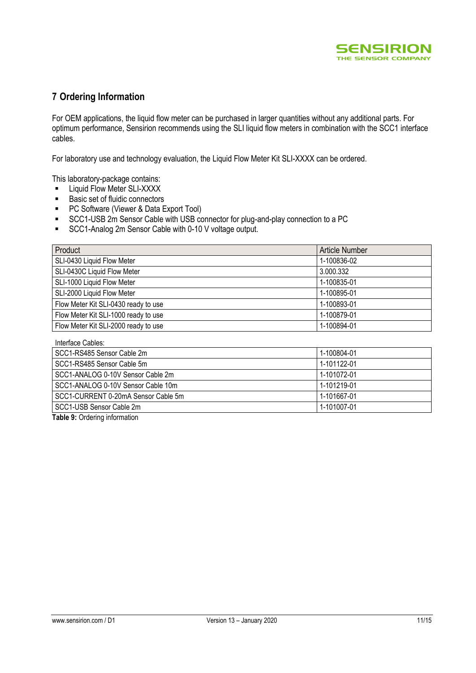

## **7 Ordering Information**

For OEM applications, the liquid flow meter can be purchased in larger quantities without any additional parts. For optimum performance, Sensirion recommends using the SLI liquid flow meters in combination with the SCC1 interface cables.

For laboratory use and technology evaluation, the Liquid Flow Meter Kit SLI-XXXX can be ordered.

This laboratory-package contains:

- Liquid Flow Meter SLI-XXXX<br>■ Basic set of fluidic connectors
- Basic set of fluidic connectors
- **PC Software (Viewer & Data Export Tool)**
- SCC1-USB 2m Sensor Cable with USB connector for plug-and-play connection to a PC
- **SCC1-Analog 2m Sensor Cable with 0-10 V voltage output.**

| Product                              | <b>Article Number</b> |
|--------------------------------------|-----------------------|
| SLI-0430 Liquid Flow Meter           | 1-100836-02           |
| SLI-0430C Liquid Flow Meter          | 3.000.332             |
| SLI-1000 Liquid Flow Meter           | 1-100835-01           |
| SLI-2000 Liquid Flow Meter           | 1-100895-01           |
| Flow Meter Kit SLI-0430 ready to use | 1-100893-01           |
| Flow Meter Kit SLI-1000 ready to use | 1-100879-01           |
| Flow Meter Kit SLI-2000 ready to use | 1-100894-01           |

| Interface Cables:                   |             |
|-------------------------------------|-------------|
| SCC1-RS485 Sensor Cable 2m          | 1-100804-01 |
| SCC1-RS485 Sensor Cable 5m          | 1-101122-01 |
| SCC1-ANALOG 0-10V Sensor Cable 2m   | 1-101072-01 |
| SCC1-ANALOG 0-10V Sensor Cable 10m  | 1-101219-01 |
| SCC1-CURRENT 0-20mA Sensor Cable 5m | 1-101667-01 |
| SCC1-USB Sensor Cable 2m            | 1-101007-01 |

**Table 9:** Ordering information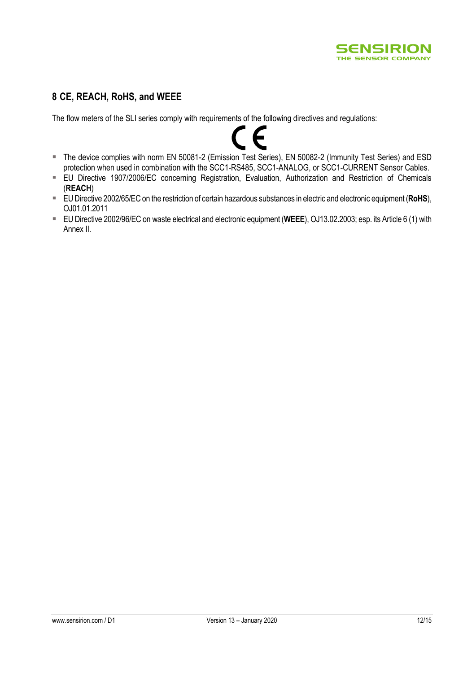

## **8 CE, REACH, RoHS, and WEEE**

The flow meters of the SLI series comply with requirements of the following directives and regulations:



- The device complies with norm EN 50081-2 (Emission Test Series), EN 50082-2 (Immunity Test Series) and ESD protection when used in combination with the SCC1-RS485, SCC1-ANALOG, or SCC1-CURRENT Sensor Cables.
- EU Directive 1907/2006/EC concerning Registration, Evaluation, Authorization and Restriction of Chemicals (**REACH**)
- EU Directive 2002/65/EC on the restriction of certain hazardous substances in electric and electronic equipment (**RoHS**), OJ01.01.2011
- EU Directive 2002/96/EC on waste electrical and electronic equipment (**WEEE**), OJ13.02.2003; esp. its Article 6 (1) with Annex II.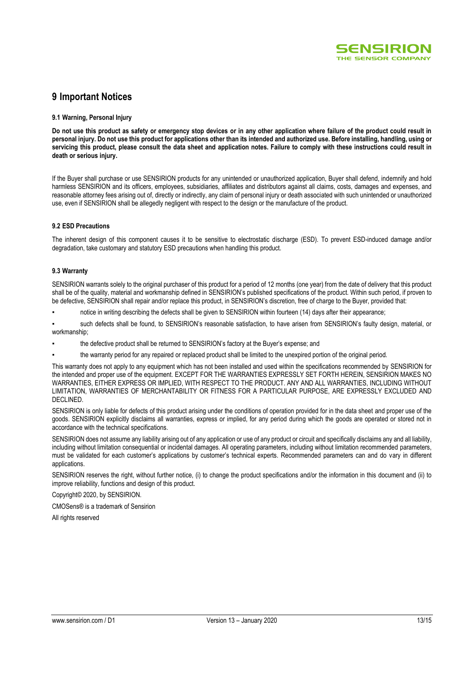

## **9 Important Notices**

#### **9.1 Warning, Personal Injury**

**Do not use this product as safety or emergency stop devices or in any other application where failure of the product could result in personal injury. Do not use this product for applications other than its intended and authorized use. Before installing, handling, using or servicing this product, please consult the data sheet and application notes. Failure to comply with these instructions could result in death or serious injury.**

If the Buyer shall purchase or use SENSIRION products for any unintended or unauthorized application, Buyer shall defend, indemnify and hold harmless SENSIRION and its officers, employees, subsidiaries, affiliates and distributors against all claims, costs, damages and expenses, and reasonable attorney fees arising out of, directly or indirectly, any claim of personal injury or death associated with such unintended or unauthorized use, even if SENSIRION shall be allegedly negligent with respect to the design or the manufacture of the product.

#### **9.2 ESD Precautions**

The inherent design of this component causes it to be sensitive to electrostatic discharge (ESD). To prevent ESD-induced damage and/or degradation, take customary and statutory ESD precautions when handling this product.

#### **9.3 Warranty**

SENSIRION warrants solely to the original purchaser of this product for a period of 12 months (one year) from the date of delivery that this product shall be of the quality, material and workmanship defined in SENSIRION's published specifications of the product. Within such period, if proven to be defective, SENSIRION shall repair and/or replace this product, in SENSIRION's discretion, free of charge to the Buyer, provided that:

notice in writing describing the defects shall be given to SENSIRION within fourteen (14) days after their appearance;

such defects shall be found, to SENSIRION's reasonable satisfaction, to have arisen from SENSIRION's faulty design, material, or workmanship;

- the defective product shall be returned to SENSIRION's factory at the Buyer's expense; and
- the warranty period for any repaired or replaced product shall be limited to the unexpired portion of the original period.

This warranty does not apply to any equipment which has not been installed and used within the specifications recommended by SENSIRION for the intended and proper use of the equipment. EXCEPT FOR THE WARRANTIES EXPRESSLY SET FORTH HEREIN, SENSIRION MAKES NO WARRANTIES, EITHER EXPRESS OR IMPLIED, WITH RESPECT TO THE PRODUCT. ANY AND ALL WARRANTIES, INCLUDING WITHOUT LIMITATION, WARRANTIES OF MERCHANTABILITY OR FITNESS FOR A PARTICULAR PURPOSE, ARE EXPRESSLY EXCLUDED AND DECLINED.

SENSIRION is only liable for defects of this product arising under the conditions of operation provided for in the data sheet and proper use of the goods. SENSIRION explicitly disclaims all warranties, express or implied, for any period during which the goods are operated or stored not in accordance with the technical specifications.

SENSIRION does not assume any liability arising out of any application or use of any product or circuit and specifically disclaims any and all liability, including without limitation consequential or incidental damages. All operating parameters, including without limitation recommended parameters, must be validated for each customer's applications by customer's technical experts. Recommended parameters can and do vary in different applications.

SENSIRION reserves the right, without further notice, (i) to change the product specifications and/or the information in this document and (ii) to improve reliability, functions and design of this product.

Copyright© 2020, by SENSIRION.

CMOSens® is a trademark of Sensirion

All rights reserved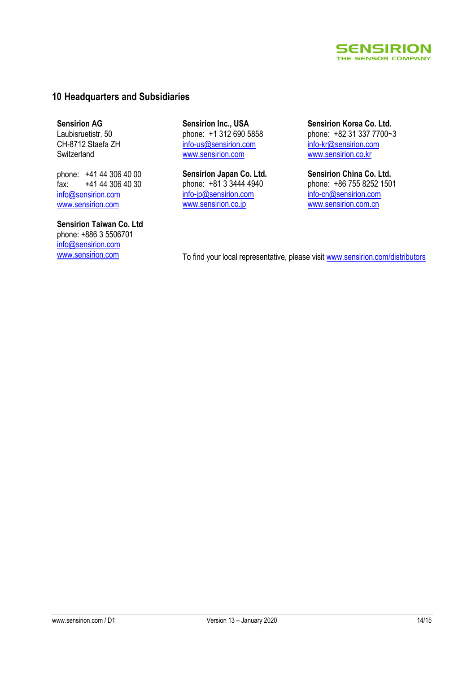

## **10 Headquarters and Subsidiaries**

**Sensirion AG** Laubisruetistr. 50 CH-8712 Staefa ZH Switzerland

phone: +41 44 306 40 00 fax: +41 44 306 40 30 info@sensirion.com www.sensirion.com

**Sensirion Taiwan Co. Ltd** phone: +886 3 5506701 info@sensirion.com

**Sensirion Inc., USA** phone: +1 312 690 5858 info-us@sensirion.com www.sensirion.com

**Sensirion Japan Co. Ltd.** phone: +81 3 3444 4940 info-jp@sensirion.com www.sensirion.co.jp

**Sensirion Korea Co. Ltd.** phone: +82 31 337 7700~3 info-kr@sensirion.com www.sensirion.co.kr

**Sensirion China Co. Ltd.** phone: +86 755 8252 1501 info-cn@sensirion.com www.sensirion.com.cn

www.sensirion.com To find your local representative, please visit www.sensirion.com/distributors